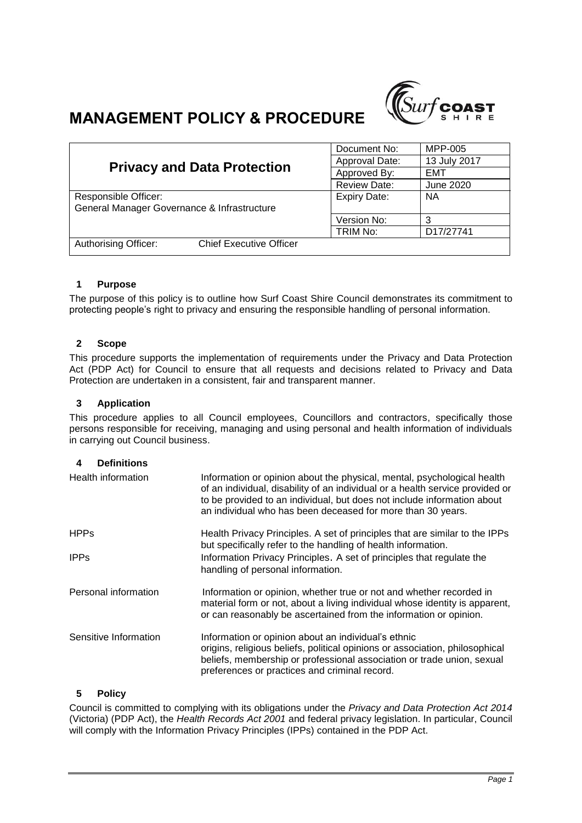

# **MANAGEMENT POLICY & PROCEDURE**

| <b>Privacy and Data Protection</b>                     | Document No:        | MPP-005      |
|--------------------------------------------------------|---------------------|--------------|
|                                                        | Approval Date:      | 13 July 2017 |
|                                                        | Approved By:        | EMT          |
|                                                        | <b>Review Date:</b> | June 2020    |
| Responsible Officer:                                   | <b>Expiry Date:</b> | <b>NA</b>    |
| General Manager Governance & Infrastructure            |                     |              |
|                                                        | Version No:         | 3            |
|                                                        | TRIM No:            | D17/27741    |
| Authorising Officer:<br><b>Chief Executive Officer</b> |                     |              |

# **1 Purpose**

The purpose of this policy is to outline how Surf Coast Shire Council demonstrates its commitment to protecting people's right to privacy and ensuring the responsible handling of personal information.

## **2 Scope**

This procedure supports the implementation of requirements under the Privacy and Data Protection Act (PDP Act) for Council to ensure that all requests and decisions related to Privacy and Data Protection are undertaken in a consistent, fair and transparent manner.

#### **3 Application**

This procedure applies to all Council employees, Councillors and contractors, specifically those persons responsible for receiving, managing and using personal and health information of individuals in carrying out Council business.

## **4 Definitions**

| Health information    | Information or opinion about the physical, mental, psychological health<br>of an individual, disability of an individual or a health service provided or<br>to be provided to an individual, but does not include information about<br>an individual who has been deceased for more than 30 years. |
|-----------------------|----------------------------------------------------------------------------------------------------------------------------------------------------------------------------------------------------------------------------------------------------------------------------------------------------|
| <b>HPPs</b>           | Health Privacy Principles. A set of principles that are similar to the IPPs<br>but specifically refer to the handling of health information.                                                                                                                                                       |
| <b>IPPs</b>           | Information Privacy Principles. A set of principles that regulate the<br>handling of personal information.                                                                                                                                                                                         |
| Personal information  | Information or opinion, whether true or not and whether recorded in<br>material form or not, about a living individual whose identity is apparent,<br>or can reasonably be ascertained from the information or opinion.                                                                            |
| Sensitive Information | Information or opinion about an individual's ethnic<br>origins, religious beliefs, political opinions or association, philosophical<br>beliefs, membership or professional association or trade union, sexual<br>preferences or practices and criminal record.                                     |

## **5 Policy**

Council is committed to complying with its obligations under the *Privacy and Data Protection Act 2014* (Victoria) (PDP Act), the *Health Records Act 2001* and federal privacy legislation. In particular, Council will comply with the Information Privacy Principles (IPPs) contained in the PDP Act.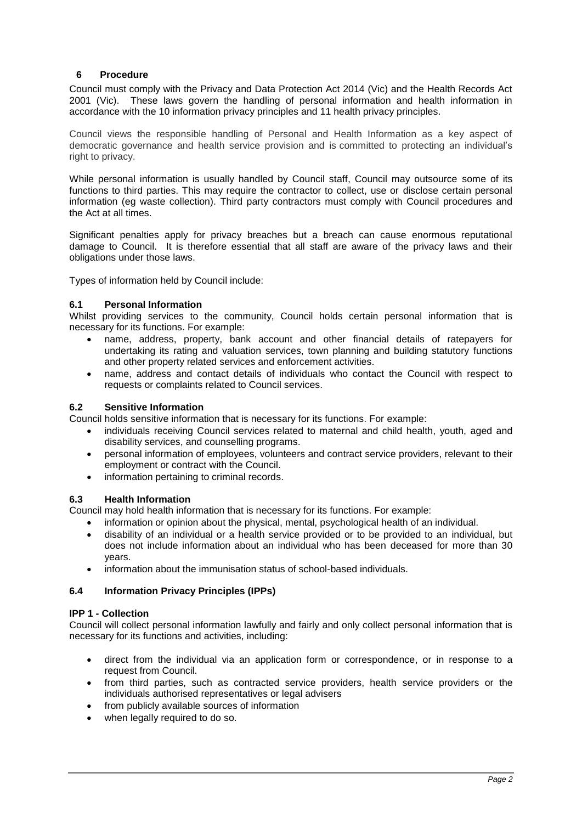# **6 Procedure**

Council must comply with the Privacy and Data Protection Act 2014 (Vic) and the Health Records Act 2001 (Vic). These laws govern the handling of personal information and health information in accordance with the 10 information privacy principles and 11 health privacy principles.

Council views the responsible handling of Personal and Health Information as a key aspect of democratic governance and health service provision and is committed to protecting an individual's right to privacy.

While personal information is usually handled by Council staff, Council may outsource some of its functions to third parties. This may require the contractor to collect, use or disclose certain personal information (eg waste collection). Third party contractors must comply with Council procedures and the Act at all times.

Significant penalties apply for privacy breaches but a breach can cause enormous reputational damage to Council. It is therefore essential that all staff are aware of the privacy laws and their obligations under those laws.

Types of information held by Council include:

## **6.1 Personal Information**

Whilst providing services to the community, Council holds certain personal information that is necessary for its functions. For example:

- name, address, property, bank account and other financial details of ratepayers for undertaking its rating and valuation services, town planning and building statutory functions and other property related services and enforcement activities.
- name, address and contact details of individuals who contact the Council with respect to requests or complaints related to Council services.

## **6.2 Sensitive Information**

Council holds sensitive information that is necessary for its functions. For example:

- individuals receiving Council services related to maternal and child health, youth, aged and disability services, and counselling programs.
- personal information of employees, volunteers and contract service providers, relevant to their employment or contract with the Council.
- information pertaining to criminal records.

## **6.3 Health Information**

Council may hold health information that is necessary for its functions. For example:

- information or opinion about the physical, mental, psychological health of an individual.
- disability of an individual or a health service provided or to be provided to an individual, but does not include information about an individual who has been deceased for more than 30 years.
- information about the immunisation status of school-based individuals.

## **6.4 Information Privacy Principles (IPPs)**

## **IPP 1 - Collection**

Council will collect personal information lawfully and fairly and only collect personal information that is necessary for its functions and activities, including:

- direct from the individual via an application form or correspondence, or in response to a request from Council.
- from third parties, such as contracted service providers, health service providers or the individuals authorised representatives or legal advisers
- from publicly available sources of information
- when legally required to do so.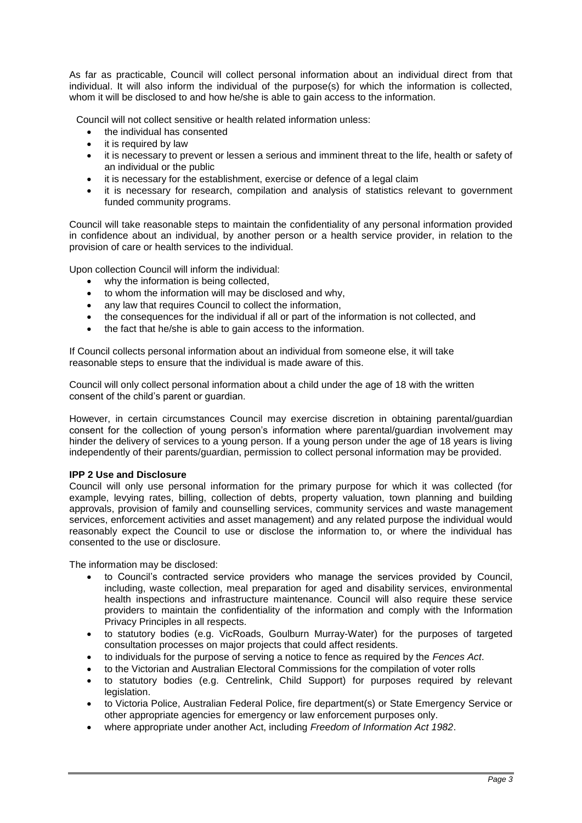As far as practicable, Council will collect personal information about an individual direct from that individual. It will also inform the individual of the purpose(s) for which the information is collected, whom it will be disclosed to and how he/she is able to gain access to the information.

Council will not collect sensitive or health related information unless:

- the individual has consented
- it is required by law
- it is necessary to prevent or lessen a serious and imminent threat to the life, health or safety of an individual or the public
- it is necessary for the establishment, exercise or defence of a legal claim
- it is necessary for research, compilation and analysis of statistics relevant to government funded community programs.

Council will take reasonable steps to maintain the confidentiality of any personal information provided in confidence about an individual, by another person or a health service provider, in relation to the provision of care or health services to the individual.

Upon collection Council will inform the individual:

- why the information is being collected,
- to whom the information will may be disclosed and why,
- any law that requires Council to collect the information,
- the consequences for the individual if all or part of the information is not collected, and
- the fact that he/she is able to gain access to the information.

If Council collects personal information about an individual from someone else, it will take reasonable steps to ensure that the individual is made aware of this.

Council will only collect personal information about a child under the age of 18 with the written consent of the child's parent or guardian.

However, in certain circumstances Council may exercise discretion in obtaining parental/guardian consent for the collection of young person's information where parental/guardian involvement may hinder the delivery of services to a young person. If a young person under the age of 18 years is living independently of their parents/guardian, permission to collect personal information may be provided.

#### **IPP 2 Use and Disclosure**

Council will only use personal information for the primary purpose for which it was collected (for example, levying rates, billing, collection of debts, property valuation, town planning and building approvals, provision of family and counselling services, community services and waste management services, enforcement activities and asset management) and any related purpose the individual would reasonably expect the Council to use or disclose the information to, or where the individual has consented to the use or disclosure.

The information may be disclosed:

- to Council's contracted service providers who manage the services provided by Council, including, waste collection, meal preparation for aged and disability services, environmental health inspections and infrastructure maintenance. Council will also require these service providers to maintain the confidentiality of the information and comply with the Information Privacy Principles in all respects.
- to statutory bodies (e.g. VicRoads, Goulburn Murray-Water) for the purposes of targeted consultation processes on major projects that could affect residents.
- to individuals for the purpose of serving a notice to fence as required by the *Fences Act*.
- to the Victorian and Australian Electoral Commissions for the compilation of voter rolls
- to statutory bodies (e.g. Centrelink, Child Support) for purposes required by relevant legislation.
- to Victoria Police, Australian Federal Police, fire department(s) or State Emergency Service or other appropriate agencies for emergency or law enforcement purposes only.
- where appropriate under another Act, including *Freedom of Information Act 1982*.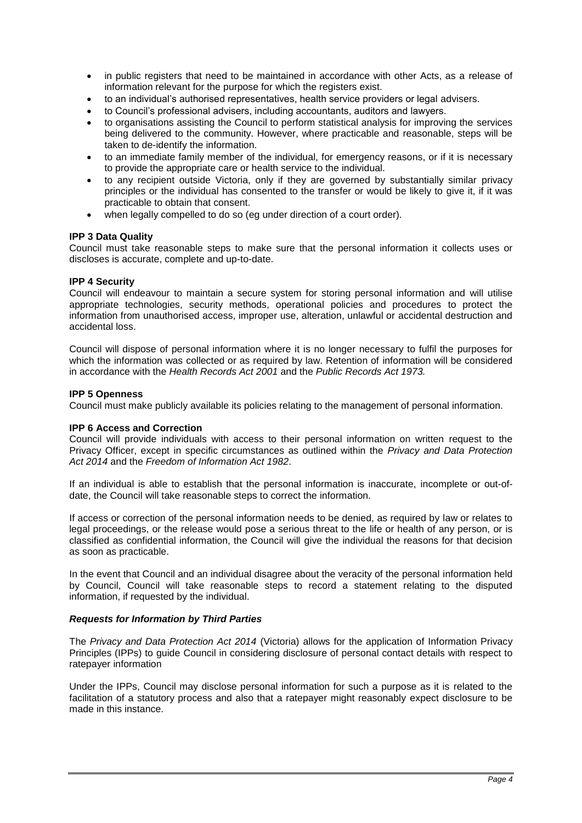- in public registers that need to be maintained in accordance with other Acts, as a release of information relevant for the purpose for which the registers exist.
- to an individual's authorised representatives, health service providers or legal advisers.
- to Council's professional advisers, including accountants, auditors and lawyers.
- to organisations assisting the Council to perform statistical analysis for improving the services being delivered to the community. However, where practicable and reasonable, steps will be taken to de-identify the information.
- to an immediate family member of the individual, for emergency reasons, or if it is necessary to provide the appropriate care or health service to the individual.
- to any recipient outside Victoria, only if they are governed by substantially similar privacy principles or the individual has consented to the transfer or would be likely to give it, if it was practicable to obtain that consent.
- when legally compelled to do so (eg under direction of a court order).

#### **IPP 3 Data Quality**

Council must take reasonable steps to make sure that the personal information it collects uses or discloses is accurate, complete and up-to-date.

#### **IPP 4 Security**

Council will endeavour to maintain a secure system for storing personal information and will utilise appropriate technologies, security methods, operational policies and procedures to protect the information from unauthorised access, improper use, alteration, unlawful or accidental destruction and accidental loss.

Council will dispose of personal information where it is no longer necessary to fulfil the purposes for which the information was collected or as required by law. Retention of information will be considered in accordance with the *Health Records Act 2001* and the *Public Records Act 1973.*

#### **IPP 5 Openness**

Council must make publicly available its policies relating to the management of personal information.

#### **IPP 6 Access and Correction**

Council will provide individuals with access to their personal information on written request to the Privacy Officer, except in specific circumstances as outlined within the *Privacy and Data Protection Act 2014* and the *Freedom of Information Act 1982*.

If an individual is able to establish that the personal information is inaccurate, incomplete or out-ofdate, the Council will take reasonable steps to correct the information.

If access or correction of the personal information needs to be denied, as required by law or relates to legal proceedings, or the release would pose a serious threat to the life or health of any person, or is classified as confidential information, the Council will give the individual the reasons for that decision as soon as practicable.

In the event that Council and an individual disagree about the veracity of the personal information held by Council, Council will take reasonable steps to record a statement relating to the disputed information, if requested by the individual.

#### *Requests for Information by Third Parties*

The *Privacy and Data Protection Act 2014* (Victoria) allows for the application of Information Privacy Principles (IPPs) to guide Council in considering disclosure of personal contact details with respect to ratepayer information

Under the IPPs, Council may disclose personal information for such a purpose as it is related to the facilitation of a statutory process and also that a ratepayer might reasonably expect disclosure to be made in this instance.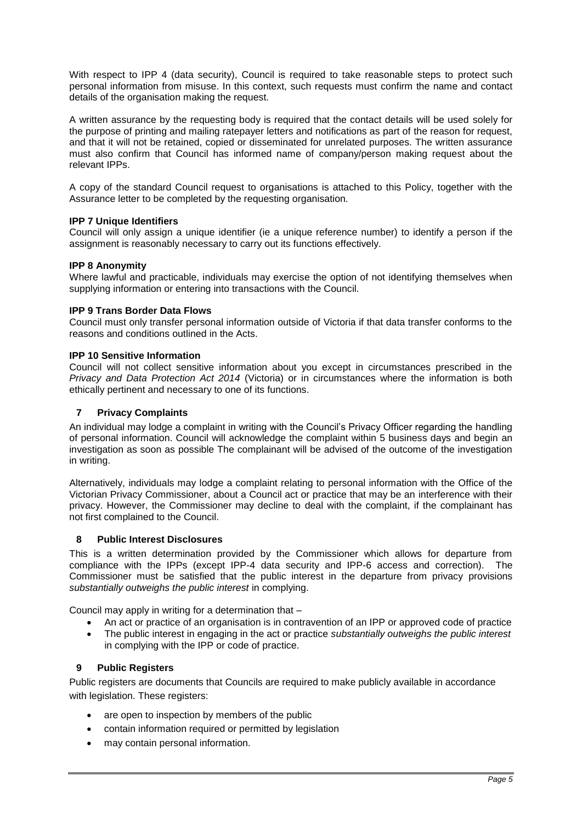With respect to IPP 4 (data security), Council is required to take reasonable steps to protect such personal information from misuse. In this context, such requests must confirm the name and contact details of the organisation making the request.

A written assurance by the requesting body is required that the contact details will be used solely for the purpose of printing and mailing ratepayer letters and notifications as part of the reason for request, and that it will not be retained, copied or disseminated for unrelated purposes. The written assurance must also confirm that Council has informed name of company/person making request about the relevant IPPs.

A copy of the standard Council request to organisations is attached to this Policy, together with the Assurance letter to be completed by the requesting organisation.

## **IPP 7 Unique Identifiers**

Council will only assign a unique identifier (ie a unique reference number) to identify a person if the assignment is reasonably necessary to carry out its functions effectively.

#### **IPP 8 Anonymity**

Where lawful and practicable, individuals may exercise the option of not identifying themselves when supplying information or entering into transactions with the Council.

#### **IPP 9 Trans Border Data Flows**

Council must only transfer personal information outside of Victoria if that data transfer conforms to the reasons and conditions outlined in the Acts.

#### **IPP 10 Sensitive Information**

Council will not collect sensitive information about you except in circumstances prescribed in the *Privacy and Data Protection Act 2014* (Victoria) or in circumstances where the information is both ethically pertinent and necessary to one of its functions.

## **7 Privacy Complaints**

An individual may lodge a complaint in writing with the Council's Privacy Officer regarding the handling of personal information. Council will acknowledge the complaint within 5 business days and begin an investigation as soon as possible The complainant will be advised of the outcome of the investigation in writing.

Alternatively, individuals may lodge a complaint relating to personal information with the Office of the Victorian Privacy Commissioner, about a Council act or practice that may be an interference with their privacy. However, the Commissioner may decline to deal with the complaint, if the complainant has not first complained to the Council.

## **8 Public Interest Disclosures**

This is a written determination provided by the Commissioner which allows for departure from compliance with the IPPs (except IPP-4 data security and IPP-6 access and correction). The Commissioner must be satisfied that the public interest in the departure from privacy provisions *substantially outweighs the public interest* in complying.

Council may apply in writing for a determination that –

- An act or practice of an organisation is in contravention of an IPP or approved code of practice
- The public interest in engaging in the act or practice *substantially outweighs the public interest*  in complying with the IPP or code of practice.

# **9 Public Registers**

Public registers are documents that Councils are required to make publicly available in accordance with legislation. These registers:

- are open to inspection by members of the public
- contain information required or permitted by legislation
- may contain personal information.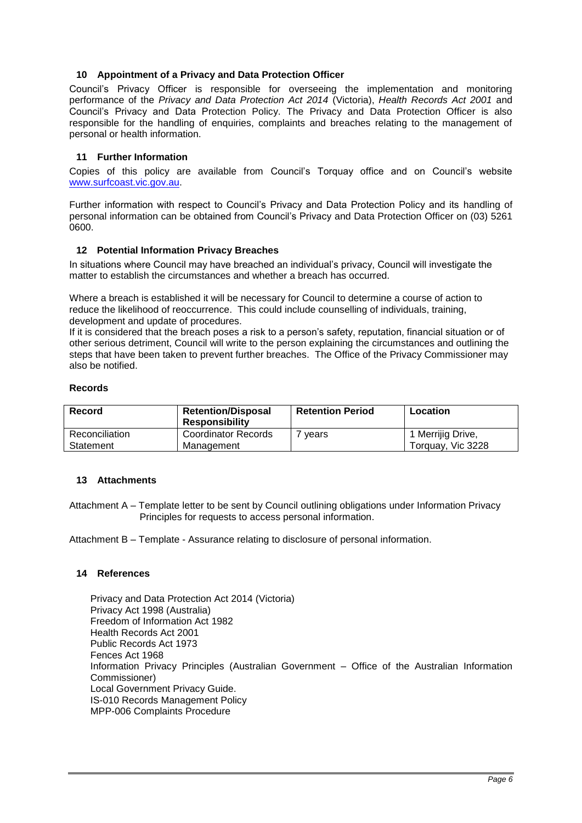## **10 Appointment of a Privacy and Data Protection Officer**

Council's Privacy Officer is responsible for overseeing the implementation and monitoring performance of the *Privacy and Data Protection Act 2014* (Victoria), *Health Records Act 2001* and Council's Privacy and Data Protection Policy. The Privacy and Data Protection Officer is also responsible for the handling of enquiries, complaints and breaches relating to the management of personal or health information.

## **11 Further Information**

Copies of this policy are available from Council's Torquay office and on Council's website [www.surfcoast.vic.gov.au.](http://www.surfcoast.vic.gov.au/)

Further information with respect to Council's Privacy and Data Protection Policy and its handling of personal information can be obtained from Council's Privacy and Data Protection Officer on (03) 5261 0600.

## **12 Potential Information Privacy Breaches**

In situations where Council may have breached an individual's privacy, Council will investigate the matter to establish the circumstances and whether a breach has occurred.

Where a breach is established it will be necessary for Council to determine a course of action to reduce the likelihood of reoccurrence. This could include counselling of individuals, training, development and update of procedures.

If it is considered that the breach poses a risk to a person's safety, reputation, financial situation or of other serious detriment, Council will write to the person explaining the circumstances and outlining the steps that have been taken to prevent further breaches. The Office of the Privacy Commissioner may also be notified.

#### **Records**

| Record         | <b>Retention/Disposal</b><br><b>Responsibility</b> | <b>Retention Period</b> | Location          |
|----------------|----------------------------------------------------|-------------------------|-------------------|
| Reconciliation | <b>Coordinator Records</b>                         | vears                   | 1 Merrijig Drive, |
| Statement      | Management                                         |                         | Torquay, Vic 3228 |

## **13 Attachments**

Attachment A – Template letter to be sent by Council outlining obligations under Information Privacy Principles for requests to access personal information.

Attachment B – Template - Assurance relating to disclosure of personal information.

## **14 References**

Privacy and Data Protection Act 2014 (Victoria) Privacy Act 1998 (Australia) Freedom of Information Act 1982 Health Records Act 2001 Public Records Act 1973 Fences Act 1968 Information Privacy Principles (Australian Government – Office of the Australian Information Commissioner) Local Government Privacy Guide. IS-010 Records Management Policy MPP-006 Complaints Procedure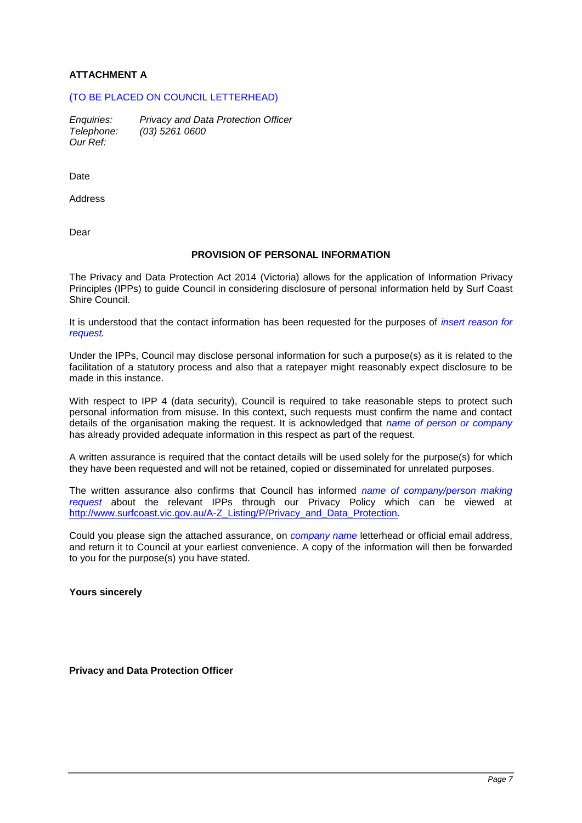# **ATTACHMENT A**

# (TO BE PLACED ON COUNCIL LETTERHEAD)

*Enquiries: Privacy and Data Protection Officer Telephone: (03) 5261 0600 Our Ref:* 

Date

Address

Dear

## **PROVISION OF PERSONAL INFORMATION**

The Privacy and Data Protection Act 2014 (Victoria) allows for the application of Information Privacy Principles (IPPs) to guide Council in considering disclosure of personal information held by Surf Coast Shire Council.

It is understood that the contact information has been requested for the purposes of *insert reason for request.*

Under the IPPs, Council may disclose personal information for such a purpose(s) as it is related to the facilitation of a statutory process and also that a ratepayer might reasonably expect disclosure to be made in this instance.

With respect to IPP 4 (data security), Council is required to take reasonable steps to protect such personal information from misuse. In this context, such requests must confirm the name and contact details of the organisation making the request. It is acknowledged that *name of person or company*  has already provided adequate information in this respect as part of the request.

A written assurance is required that the contact details will be used solely for the purpose(s) for which they have been requested and will not be retained, copied or disseminated for unrelated purposes.

The written assurance also confirms that Council has informed *name of company/person making request* about the relevant IPPs through our Privacy Policy which can be viewed at [http://www.surfcoast.vic.gov.au/A-Z\\_Listing/P/Privacy\\_and\\_Data\\_Protection.](http://www.surfcoast.vic.gov.au/A-Z_Listing/P/Privacy_and_Data_Protection)

Could you please sign the attached assurance, on *company name* letterhead or official email address, and return it to Council at your earliest convenience. A copy of the information will then be forwarded to you for the purpose(s) you have stated.

**Yours sincerely**

**Privacy and Data Protection Officer**